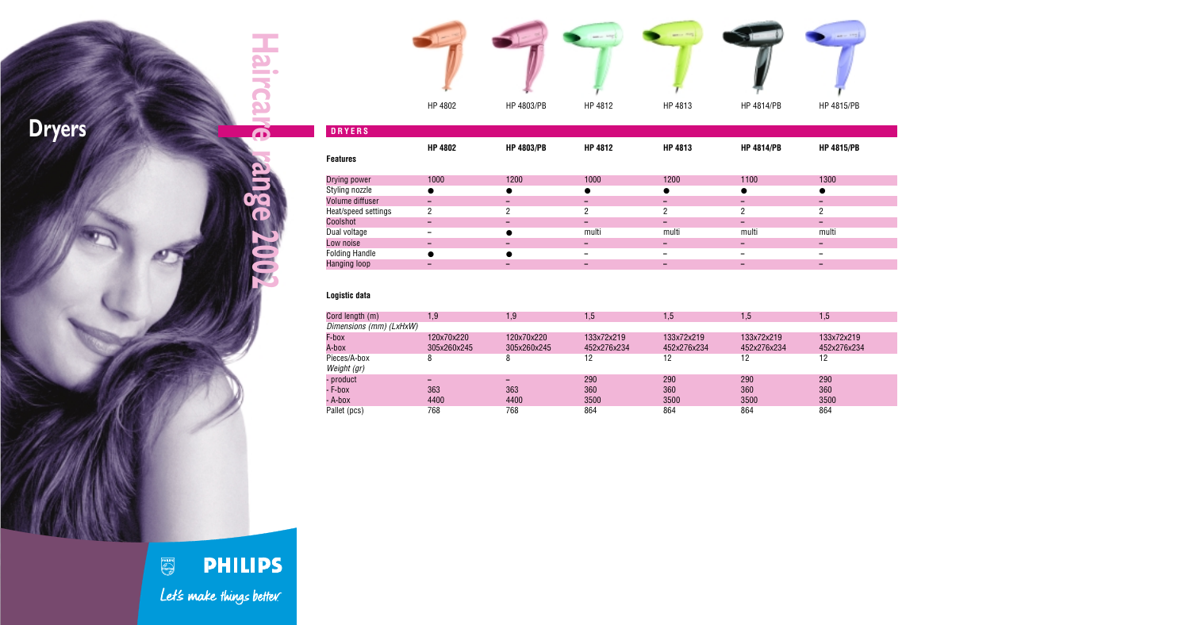**Haircare range 2002**

inge 200

Haircare

Low noise **––– –––** Folding Handle ● ● **– –––** Hanging loop **––– –––**

**PHILIPS** Let's make things better.

## **Logistic data**

|                     | HP 4802        | HP 4803/PB        | HP 4812        | HP 4813        | HP 4814/PB        | HP 4815/PB        |
|---------------------|----------------|-------------------|----------------|----------------|-------------------|-------------------|
| <b>DRYERS</b>       |                |                   |                |                |                   |                   |
| <b>Features</b>     | <b>HP 4802</b> | <b>HP 4803/PB</b> | <b>HP 4812</b> | <b>HP 4813</b> | <b>HP 4814/PB</b> | <b>HP 4815/PB</b> |
| Drying power        | 1000           | 1200              | 1000           | 1200           | 1100              | 1300              |
| Styling nozzle      |                |                   |                |                |                   |                   |
| Volume diffuser     | -              |                   |                | -              | -                 | -                 |
| Heat/speed settings | 2              | 2                 | 2              | 2              | 2                 | $\overline{2}$    |
| Coolshot            |                |                   |                |                | -                 | -                 |
| Dual voltage        |                |                   | multi          | multi          | multi             | multi             |

| Cord length (m)         | 1,9                      | 1,9                      | 1,5         | 1,5         | 1,5         | 1,5         |
|-------------------------|--------------------------|--------------------------|-------------|-------------|-------------|-------------|
| Dimensions (mm) (LxHxW) |                          |                          |             |             |             |             |
| F-box                   | 120x70x220               | 120x70x220               | 133x72x219  | 133x72x219  | 133x72x219  | 133x72x219  |
| A-box                   | 305x260x245              | 305x260x245              | 452x276x234 | 452x276x234 | 452x276x234 | 452x276x234 |
| Pieces/A-box            |                          | 8                        | 12          | 12          | 12          | 12          |
| Weight (gr)             |                          |                          |             |             |             |             |
| - product               | $\overline{\phantom{0}}$ | $\overline{\phantom{0}}$ | 290         | 290         | 290         | 290         |
| - F-box                 | 363                      | 363                      | 360         | 360         | 360         | 360         |
| - A-box                 | 4400                     | 4400                     | 3500        | 3500        | 3500        | 3500        |
| Pallet (pcs)            | 768                      | 768                      | 864         | 864         | 864         | 864         |

| AVA I | L |
|-------|---|
|       |   |